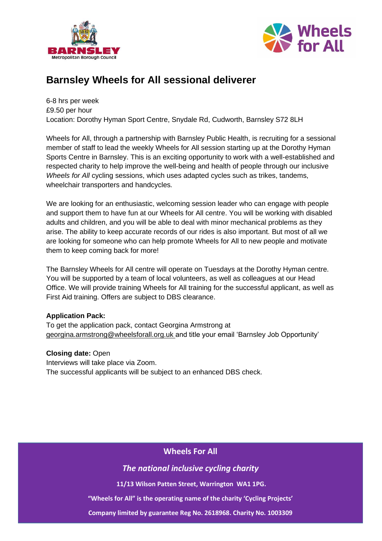



# **Barnsley Wheels for All sessional deliverer**

6-8 hrs per week £9.50 per hour Location: Dorothy Hyman Sport Centre, Snydale Rd, Cudworth, Barnsley S72 8LH

Wheels for All, through a partnership with Barnsley Public Health, is recruiting for a sessional member of staff to lead the weekly Wheels for All session starting up at the Dorothy Hyman Sports Centre in Barnsley. This is an exciting opportunity to work with a well-established and respected charity to help improve the well-being and health of people through our inclusive *Wheels for All* cycling sessions, which uses adapted cycles such as trikes, tandems, wheelchair transporters and handcycles*.*

We are looking for an enthusiastic, welcoming session leader who can engage with people and support them to have fun at our Wheels for All centre. You will be working with disabled adults and children, and you will be able to deal with minor mechanical problems as they arise. The ability to keep accurate records of our rides is also important. But most of all we are looking for someone who can help promote Wheels for All to new people and motivate them to keep coming back for more!

The Barnsley Wheels for All centre will operate on Tuesdays at the Dorothy Hyman centre. You will be supported by a team of local volunteers, as well as colleagues at our Head Office. We will provide training Wheels for All training for the successful applicant, as well as First Aid training. Offers are subject to DBS clearance.

## **Application Pack:**

To get the application pack, contact Georgina Armstrong at [georgina.armstrong@wheelsforall.org.uk](mailto:georgina.armstrong@wheelsforall.org.uk) and title your email 'Barnsley Job Opportunity'

## **Closing date:** Open

Interviews will take place via Zoom. The successful applicants will be subject to an enhanced DBS check.

## **Wheels For All**

*The national inclusive cycling charity*

**11/13 Wilson Patten Street, Warrington WA1 1PG.** 

**"Wheels for All" is the operating name of the charity 'Cycling Projects'**

**Company limited by guarantee Reg No. 2618968. Charity No. 1003309**